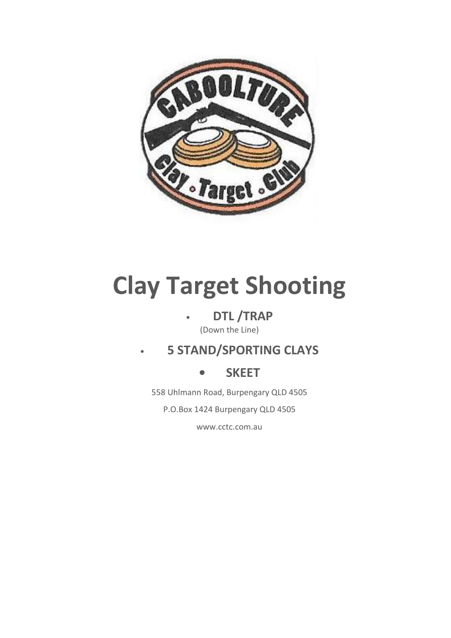

# **Clay Target Shooting**

### • **DTL /TRAP**

(Down the Line)

### • **5 STAND/SPORTING CLAYS**

### **• SKEET**

558 Uhlmann Road, Burpengary QLD 4505

P.O.Box 1424 Burpengary QLD 4505

www.cctc.com.au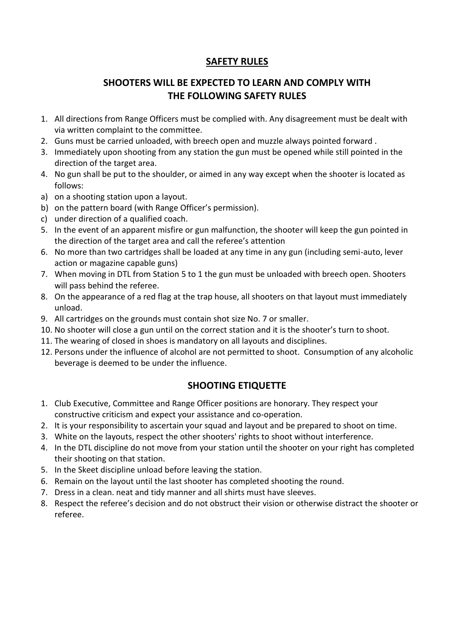### **SAFETY RULES**

### **SHOOTERS WILL BE EXPECTED TO LEARN AND COMPLY WITH THE FOLLOWING SAFETY RULES**

- 1. All directions from Range Officers must be complied with. Any disagreement must be dealt with via written complaint to the committee.
- 2. Guns must be carried unloaded, with breech open and muzzle always pointed forward .
- 3. Immediately upon shooting from any station the gun must be opened while still pointed in the direction of the target area.
- 4. No gun shall be put to the shoulder, or aimed in any way except when the shooter is located as follows:
- a) on a shooting station upon a layout.
- b) on the pattern board (with Range Officer's permission).
- c) under direction of a qualified coach.
- 5. In the event of an apparent misfire or gun malfunction, the shooter will keep the gun pointed in the direction of the target area and call the referee's attention
- 6. No more than two cartridges shall be loaded at any time in any gun (including semi-auto, lever action or magazine capable guns)
- 7. When moving in DTL from Station 5 to 1 the gun must be unloaded with breech open. Shooters will pass behind the referee.
- 8. On the appearance of a red flag at the trap house, all shooters on that layout must immediately unload.
- 9. All cartridges on the grounds must contain shot size No. 7 or smaller.
- 10. No shooter will close a gun until on the correct station and it is the shooter's turn to shoot.
- 11. The wearing of closed in shoes is mandatory on all layouts and disciplines.
- 12. Persons under the influence of alcohol are not permitted to shoot. Consumption of any alcoholic beverage is deemed to be under the influence.

#### **SHOOTING ETIQUETTE**

- 1. Club Executive, Committee and Range Officer positions are honorary. They respect your constructive criticism and expect your assistance and co-operation.
- 2. It is your responsibility to ascertain your squad and layout and be prepared to shoot on time.
- 3. White on the layouts, respect the other shooters' rights to shoot without interference.
- 4. In the DTL discipline do not move from your station until the shooter on your right has completed their shooting on that station.
- 5. In the Skeet discipline unload before leaving the station.
- 6. Remain on the layout until the last shooter has completed shooting the round.
- 7. Dress in a clean. neat and tidy manner and all shirts must have sleeves.
- 8. Respect the referee's decision and do not obstruct their vision or otherwise distract the shooter or referee.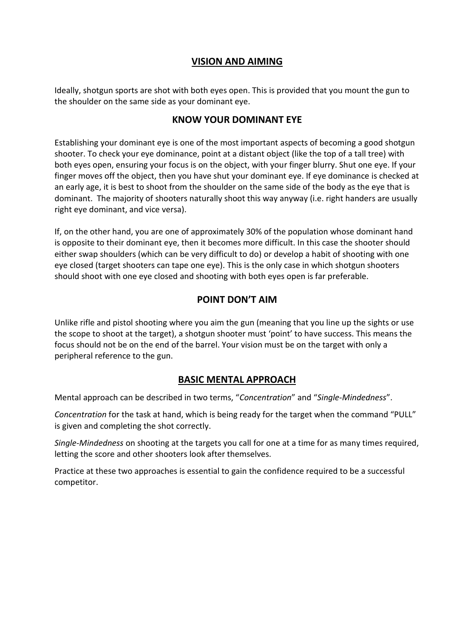#### **VISION AND AIMING**

Ideally, shotgun sports are shot with both eyes open. This is provided that you mount the gun to the shoulder on the same side as your dominant eye.

#### **KNOW YOUR DOMINANT EYE**

Establishing your dominant eye is one of the most important aspects of becoming a good shotgun shooter. To check your eye dominance, point at a distant object (like the top of a tall tree) with both eyes open, ensuring your focus is on the object, with your finger blurry. Shut one eye. If your finger moves off the object, then you have shut your dominant eye. If eye dominance is checked at an early age, it is best to shoot from the shoulder on the same side of the body as the eye that is dominant. The majority of shooters naturally shoot this way anyway (i.e. right handers are usually right eye dominant, and vice versa).

If, on the other hand, you are one of approximately 30% of the population whose dominant hand is opposite to their dominant eye, then it becomes more difficult. In this case the shooter should either swap shoulders (which can be very difficult to do) or develop a habit of shooting with one eye closed (target shooters can tape one eye). This is the only case in which shotgun shooters should shoot with one eye closed and shooting with both eyes open is far preferable.

### **POINT DON'T AIM**

Unlike rifle and pistol shooting where you aim the gun (meaning that you line up the sights or use the scope to shoot at the target), a shotgun shooter must 'point' to have success. This means the focus should not be on the end of the barrel. Your vision must be on the target with only a peripheral reference to the gun.

#### **BASIC MENTAL APPROACH**

Mental approach can be described in two terms, "*Concentration*" and "*Single-Mindedness*".

*Concentration* for the task at hand, which is being ready for the target when the command "PULL" is given and completing the shot correctly.

*Single-Mindedness* on shooting at the targets you call for one at a time for as many times required, letting the score and other shooters look after themselves.

Practice at these two approaches is essential to gain the confidence required to be a successful competitor.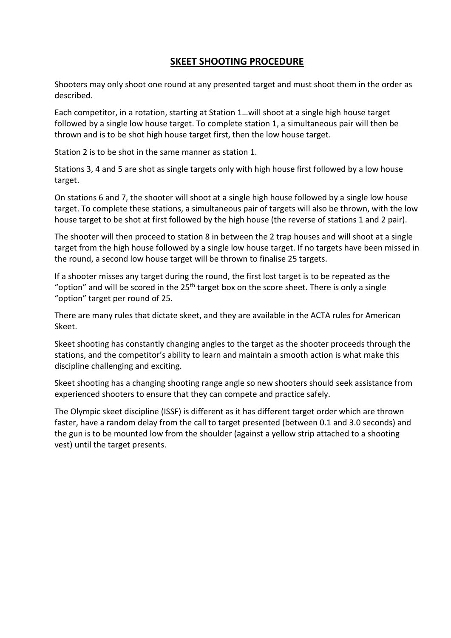#### **SKEET SHOOTING PROCEDURE**

Shooters may only shoot one round at any presented target and must shoot them in the order as described.

Each competitor, in a rotation, starting at Station 1…will shoot at a single high house target followed by a single low house target. To complete station 1, a simultaneous pair will then be thrown and is to be shot high house target first, then the low house target.

Station 2 is to be shot in the same manner as station 1.

Stations 3, 4 and 5 are shot as single targets only with high house first followed by a low house target.

On stations 6 and 7, the shooter will shoot at a single high house followed by a single low house target. To complete these stations, a simultaneous pair of targets will also be thrown, with the low house target to be shot at first followed by the high house (the reverse of stations 1 and 2 pair).

The shooter will then proceed to station 8 in between the 2 trap houses and will shoot at a single target from the high house followed by a single low house target. If no targets have been missed in the round, a second low house target will be thrown to finalise 25 targets.

If a shooter misses any target during the round, the first lost target is to be repeated as the "option" and will be scored in the  $25<sup>th</sup>$  target box on the score sheet. There is only a single "option" target per round of 25.

There are many rules that dictate skeet, and they are available in the ACTA rules for American Skeet.

Skeet shooting has constantly changing angles to the target as the shooter proceeds through the stations, and the competitor's ability to learn and maintain a smooth action is what make this discipline challenging and exciting.

Skeet shooting has a changing shooting range angle so new shooters should seek assistance from experienced shooters to ensure that they can compete and practice safely.

The Olympic skeet discipline (ISSF) is different as it has different target order which are thrown faster, have a random delay from the call to target presented (between 0.1 and 3.0 seconds) and the gun is to be mounted low from the shoulder (against a yellow strip attached to a shooting vest) until the target presents.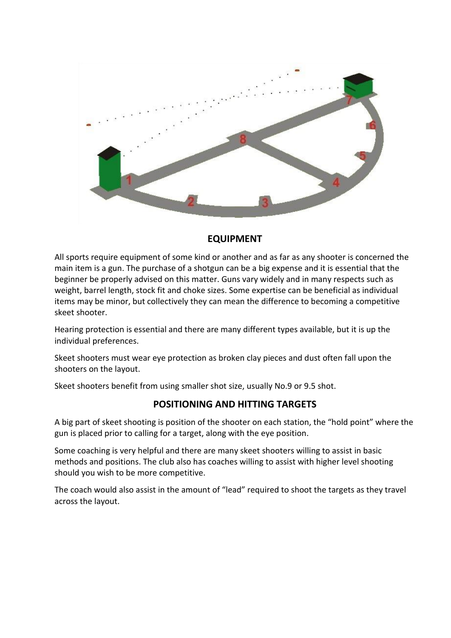

#### **EQUIPMENT**

All sports require equipment of some kind or another and as far as any shooter is concerned the main item is a gun. The purchase of a shotgun can be a big expense and it is essential that the beginner be properly advised on this matter. Guns vary widely and in many respects such as weight, barrel length, stock fit and choke sizes. Some expertise can be beneficial as individual items may be minor, but collectively they can mean the difference to becoming a competitive skeet shooter.

Hearing protection is essential and there are many different types available, but it is up the individual preferences.

Skeet shooters must wear eye protection as broken clay pieces and dust often fall upon the shooters on the layout.

Skeet shooters benefit from using smaller shot size, usually No.9 or 9.5 shot.

#### **POSITIONING AND HITTING TARGETS**

A big part of skeet shooting is position of the shooter on each station, the "hold point" where the gun is placed prior to calling for a target, along with the eye position.

Some coaching is very helpful and there are many skeet shooters willing to assist in basic methods and positions. The club also has coaches willing to assist with higher level shooting should you wish to be more competitive.

The coach would also assist in the amount of "lead" required to shoot the targets as they travel across the layout.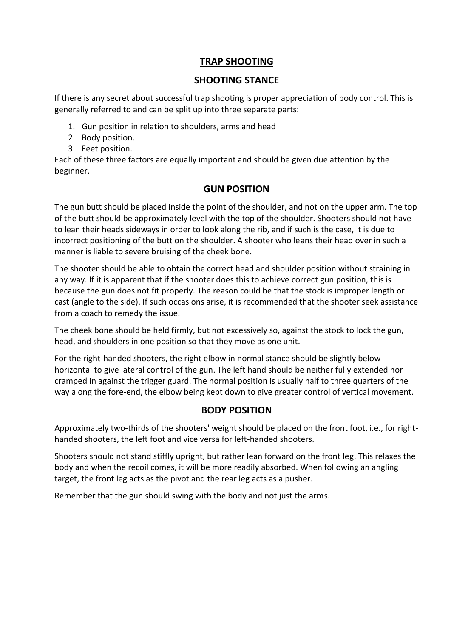#### **TRAP SHOOTING**

#### **SHOOTING STANCE**

If there is any secret about successful trap shooting is proper appreciation of body control. This is generally referred to and can be split up into three separate parts:

- 1. Gun position in relation to shoulders, arms and head
- 2. Body position.
- 3. Feet position.

Each of these three factors are equally important and should be given due attention by the beginner.

#### **GUN POSITION**

The gun butt should be placed inside the point of the shoulder, and not on the upper arm. The top of the butt should be approximately level with the top of the shoulder. Shooters should not have to lean their heads sideways in order to look along the rib, and if such is the case, it is due to incorrect positioning of the butt on the shoulder. A shooter who leans their head over in such a manner is liable to severe bruising of the cheek bone.

The shooter should be able to obtain the correct head and shoulder position without straining in any way. If it is apparent that if the shooter does this to achieve correct gun position, this is because the gun does not fit properly. The reason could be that the stock is improper length or cast (angle to the side). If such occasions arise, it is recommended that the shooter seek assistance from a coach to remedy the issue.

The cheek bone should be held firmly, but not excessively so, against the stock to lock the gun, head, and shoulders in one position so that they move as one unit.

For the right-handed shooters, the right elbow in normal stance should be slightly below horizontal to give lateral control of the gun. The left hand should be neither fully extended nor cramped in against the trigger guard. The normal position is usually half to three quarters of the way along the fore-end, the elbow being kept down to give greater control of vertical movement.

#### **BODY POSITION**

Approximately two-thirds of the shooters' weight should be placed on the front foot, i.e., for righthanded shooters, the left foot and vice versa for left-handed shooters.

Shooters should not stand stiffly upright, but rather lean forward on the front leg. This relaxes the body and when the recoil comes, it will be more readily absorbed. When following an angling target, the front leg acts as the pivot and the rear leg acts as a pusher.

Remember that the gun should swing with the body and not just the arms.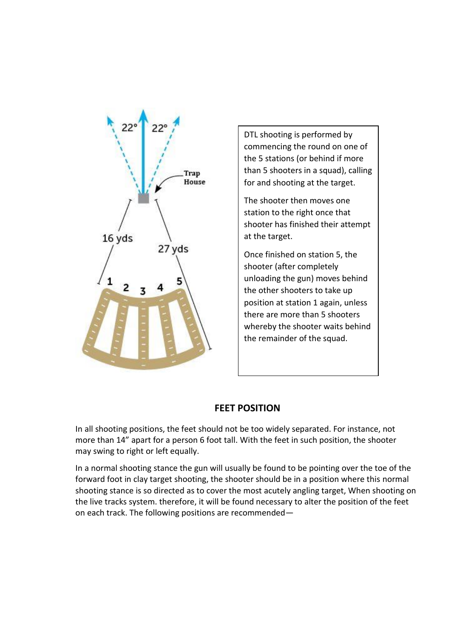

DTL shooting is performed by commencing the round on one of the 5 stations (or behind if more than 5 shooters in a squad), calling for and shooting at the target.

The shooter then moves one station to the right once that shooter has finished their attempt at the target.

Once finished on station 5, the shooter (after completely unloading the gun) moves behind the other shooters to take up position at station 1 again, unless there are more than 5 shooters whereby the shooter waits behind the remainder of the squad.

#### **FEET POSITION**

In all shooting positions, the feet should not be too widely separated. For instance, not more than 14" apart for a person 6 foot tall. With the feet in such position, the shooter may swing to right or left equally.

In a normal shooting stance the gun will usually be found to be pointing over the toe of the forward foot in clay target shooting, the shooter should be in a position where this normal shooting stance is so directed as to cover the most acutely angling target, When shooting on the live tracks system. therefore, it will be found necessary to alter the position of the feet on each track. The following positions are recommended—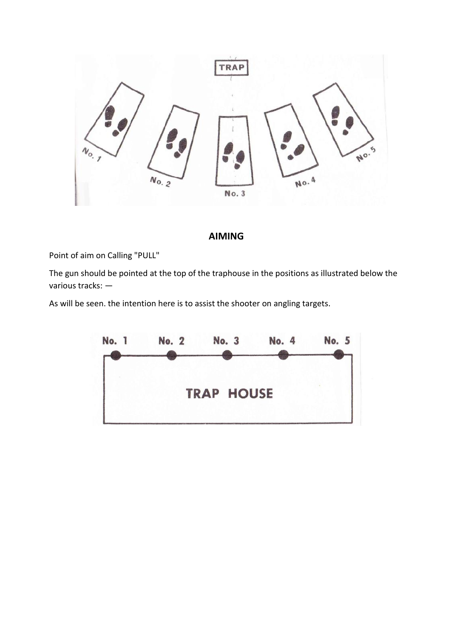

#### **AIMING**

Point of aim on Calling "PULL"

The gun should be pointed at the top of the traphouse in the positions as illustrated below the various tracks: —

As will be seen. the intention here is to assist the shooter on angling targets.

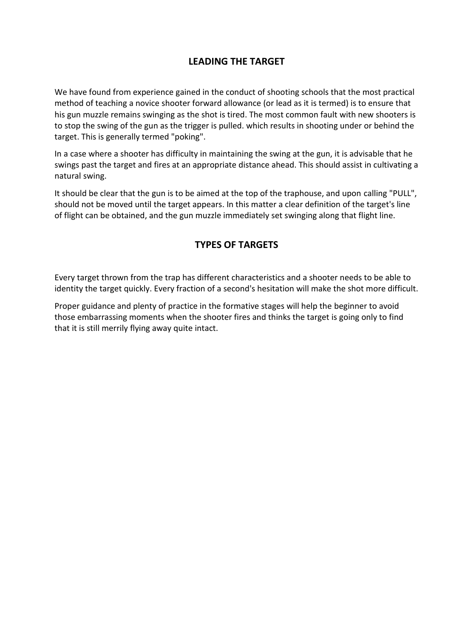#### **LEADING THE TARGET**

We have found from experience gained in the conduct of shooting schools that the most practical method of teaching a novice shooter forward allowance (or lead as it is termed) is to ensure that his gun muzzle remains swinging as the shot is tired. The most common fault with new shooters is to stop the swing of the gun as the trigger is pulled. which results in shooting under or behind the target. This is generally termed "poking".

In a case where a shooter has difficulty in maintaining the swing at the gun, it is advisable that he swings past the target and fires at an appropriate distance ahead. This should assist in cultivating a natural swing.

It should be clear that the gun is to be aimed at the top of the traphouse, and upon calling "PULL", should not be moved until the target appears. In this matter a clear definition of the target's line of flight can be obtained, and the gun muzzle immediately set swinging along that flight line.

#### **TYPES OF TARGETS**

Every target thrown from the trap has different characteristics and a shooter needs to be able to identity the target quickly. Every fraction of a second's hesitation will make the shot more difficult.

Proper guidance and plenty of practice in the formative stages will help the beginner to avoid those embarrassing moments when the shooter fires and thinks the target is going only to find that it is still merrily flying away quite intact.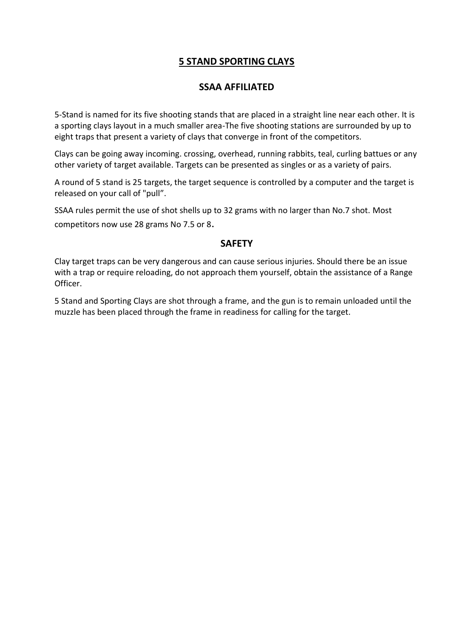#### **5 STAND SPORTING CLAYS**

#### **SSAA AFFILIATED**

5-Stand is named for its five shooting stands that are placed in a straight line near each other. It is a sporting clays layout in a much smaller area-The five shooting stations are surrounded by up to eight traps that present a variety of clays that converge in front of the competitors.

Clays can be going away incoming. crossing, overhead, running rabbits, teal, curling battues or any other variety of target available. Targets can be presented as singles or as a variety of pairs.

A round of 5 stand is 25 targets, the target sequence is controlled by a computer and the target is released on your call of "pull".

SSAA rules permit the use of shot shells up to 32 grams with no larger than No.7 shot. Most competitors now use 28 grams No 7.5 or 8.

#### **SAFETY**

Clay target traps can be very dangerous and can cause serious injuries. Should there be an issue with a trap or require reloading, do not approach them yourself, obtain the assistance of a Range Officer.

5 Stand and Sporting Clays are shot through a frame, and the gun is to remain unloaded until the muzzle has been placed through the frame in readiness for calling for the target.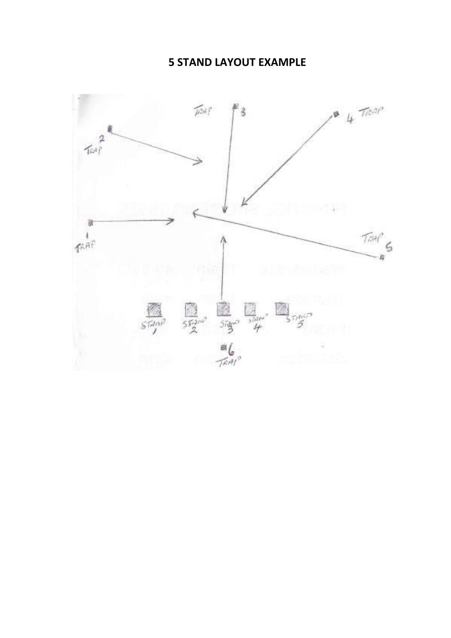